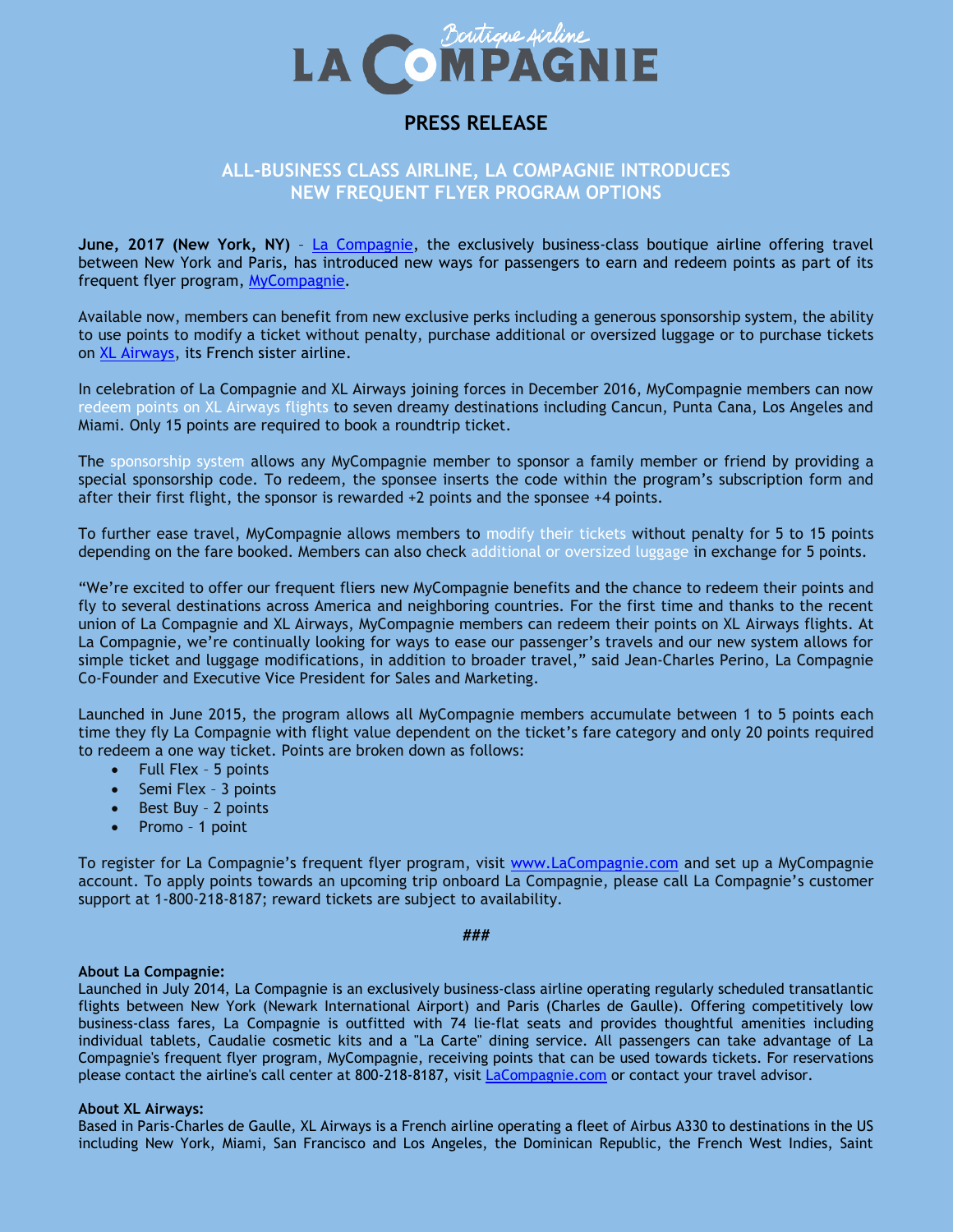

# **PRESS RELEASE**

# **ALL-BUSINESS CLASS AIRLINE, LA COMPAGNIE INTRODUCES NEW FREQUENT FLYER PROGRAM OPTIONS**

**June, 2017 (New York, NY)** – [La Compagnie,](https://www.lacompagnie.com/en) the exclusively business-class boutique airline offering travel between New York and Paris, has introduced new ways for passengers to earn and redeem points as part of its frequent flyer program, [MyCompagnie.](https://www.lacompagnie.com/en/my-compagnie-loyalty-program/register)

Available now, members can benefit from new exclusive perks including a generous sponsorship system, the ability to use points to modify a ticket without penalty, purchase additional or oversized luggage or to purchase tickets on [XL Airways,](http://www.xl.com/us/) its French sister airline.

In celebration of La Compagnie and XL Airways joining forces in December 2016, MyCompagnie members can now redeem points on XL Airways flights to seven dreamy destinations including Cancun, Punta Cana, Los Angeles and Miami. Only 15 points are required to book a roundtrip ticket.

The sponsorship system allows any MyCompagnie member to sponsor a family member or friend by providing a special sponsorship code. To redeem, the sponsee inserts the code within the program's subscription form and after their first flight, the sponsor is rewarded +2 points and the sponsee +4 points.

To further ease travel, MyCompagnie allows members to modify their tickets without penalty for 5 to 15 points depending on the fare booked. Members can also check additional or oversized luggage in exchange for 5 points.

"We're excited to offer our frequent fliers new MyCompagnie benefits and the chance to redeem their points and fly to several destinations across America and neighboring countries. For the first time and thanks to the recent union of La Compagnie and XL Airways, MyCompagnie members can redeem their points on XL Airways flights. At La Compagnie, we're continually looking for ways to ease our passenger's travels and our new system allows for simple ticket and luggage modifications, in addition to broader travel," said Jean-Charles Perino, La Compagnie Co-Founder and Executive Vice President for Sales and Marketing.

Launched in June 2015, the program allows all MyCompagnie members accumulate between 1 to 5 points each time they fly La Compagnie with flight value dependent on the ticket's fare category and only 20 points required to redeem a one way ticket. Points are broken down as follows:

- Full Flex 5 points
- Semi Flex 3 points
- Best Buy 2 points
- Promo 1 point

To register for La Compagnie's frequent flyer program, visit [www.LaCompagnie.com](http://www.lacompagnie.com/) and set up a MyCompagnie account. To apply points towards an upcoming trip onboard La Compagnie, please call La Compagnie's customer support at 1-800-218-8187; reward tickets are subject to availability.

#### **###**

## **About La Compagnie:**

Launched in July 2014, La Compagnie is an exclusively business-class airline operating regularly scheduled transatlantic flights between New York (Newark International Airport) and Paris (Charles de Gaulle). Offering competitively low business-class fares, La Compagnie is outfitted with 74 lie-flat seats and provides thoughtful amenities including individual tablets, Caudalie cosmetic kits and a "La Carte" dining service. All passengers can take advantage of La Compagnie's frequent flyer program, MyCompagnie, receiving points that can be used towards tickets. For reservations please contact the airline's call center at 800-218-8187, visit LaCompagnie.com or contact your travel advisor.

## **About XL Airways:**

Based in Paris-Charles de Gaulle, XL Airways is a French airline operating a fleet of Airbus A330 to destinations in the US including New York, Miami, San Francisco and Los Angeles, the Dominican Republic, the French West Indies, Saint